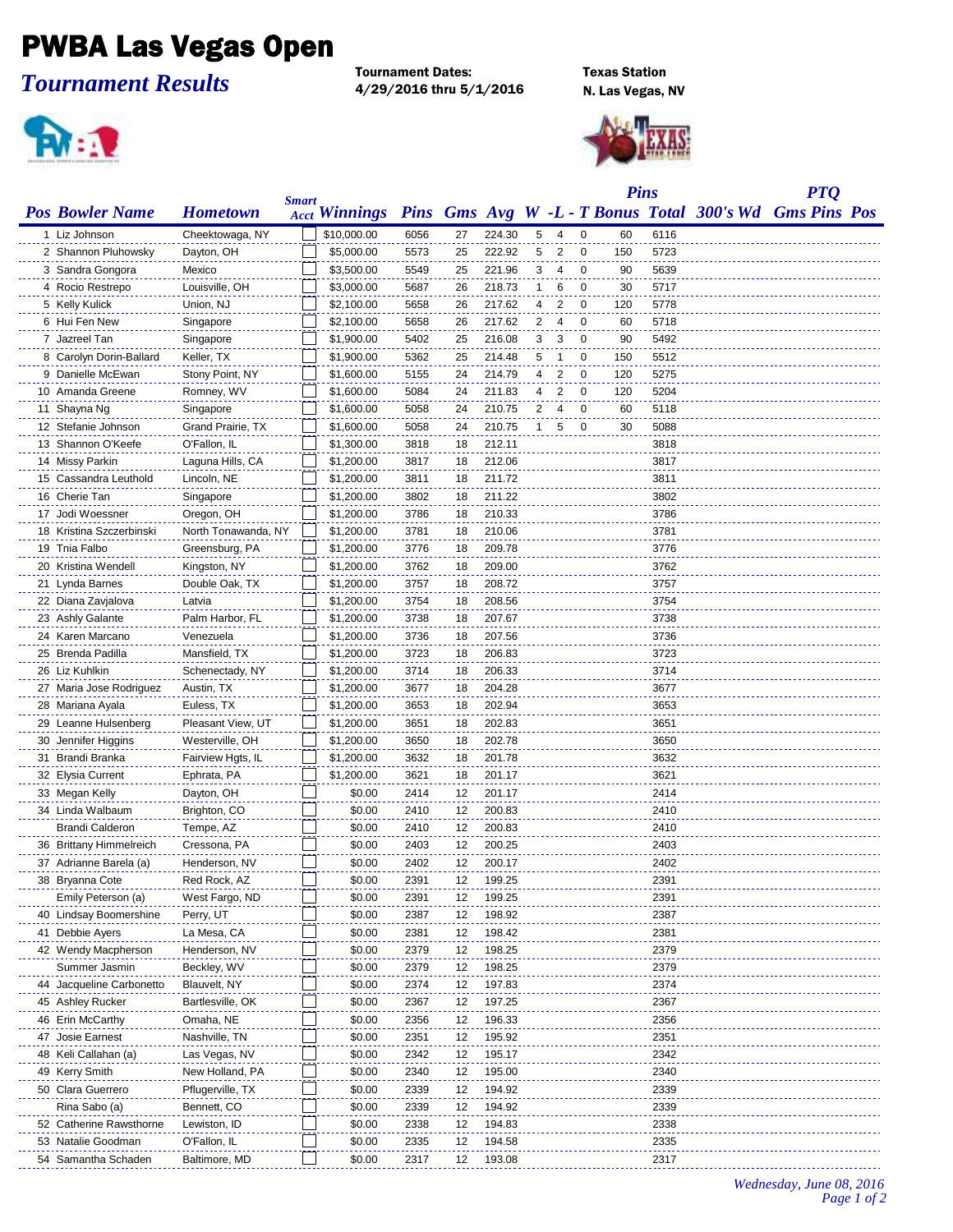## PWBA Las Vegas Open

*Tournament Results*

Tournament Dates:<br>
4/29/2016 thru 5/1/2016 N. Las Vegas, NV  $4/29/2016$  thru  $5/1/2016$ 





|                          |                                 | <b>Smart</b> |                          |              |    |        |   |                |                         | <b>Pins</b> |              |                                                         | <b>PTQ</b> |  |
|--------------------------|---------------------------------|--------------|--------------------------|--------------|----|--------|---|----------------|-------------------------|-------------|--------------|---------------------------------------------------------|------------|--|
| <b>Pos Bowler Name</b>   | <b>Hometown</b>                 |              | <b>Acct Winnings</b>     |              |    |        |   |                |                         |             |              | Pins Gms Avg W -L - T Bonus Total 300's Wd Gms Pins Pos |            |  |
| 1 Liz Johnson            | Cheektowaga, NY                 |              | \$10,000.00              | 6056         | 27 | 224.30 |   | 5 4            | 0                       | 60          | 6116         |                                                         |            |  |
| 2 Shannon Pluhowsky      | Dayton, OH                      |              | \$5,000.00               | 5573         | 25 | 222.92 | 5 | 2              | 0                       | 150         | 5723         |                                                         |            |  |
| 3 Sandra Gongora         | Mexico                          |              | \$3,500.00               | 5549         | 25 | 221.96 | 3 | 4              | 0                       | 90          | 5639         |                                                         |            |  |
| 4 Rocio Restrepo         | Louisville, OH                  |              | \$3,000.00               | 5687         | 26 | 218.73 | 1 | 6              | $\mathbf 0$             | 30          | 5717         |                                                         |            |  |
| 5 Kelly Kulick           | Union, NJ                       |              | \$2,100.00               | 5658         | 26 | 217.62 | 4 | 2              | $\mathbf 0$             | 120         | 5778         |                                                         |            |  |
| 6 Hui Fen New            | Singapore                       |              | \$2,100.00               | 5658         | 26 | 217.62 | 2 | $\overline{4}$ | $\overline{\mathbf{0}}$ | 60          | 5718         |                                                         |            |  |
| 7 Jazreel Tan            | Singapore                       |              | \$1,900.00               | 5402         | 25 | 216.08 | 3 | 3              | $\overline{0}$          | 90          | 5492         |                                                         |            |  |
| 8 Carolyn Dorin-Ballard  | Keller, TX                      |              | \$1,900.00               | 5362         | 25 | 214.48 | 5 | $\mathbf{1}$   | 0                       | 150         | 5512         |                                                         |            |  |
| 9 Danielle McEwan        | Stony Point, NY                 |              | \$1,600.00               | 5155         | 24 | 214.79 | 4 | 2              | 0                       | 120         | 5275         |                                                         |            |  |
| 10 Amanda Greene         | Romney, WV                      |              | \$1,600.00               | 5084         | 24 | 211.83 | 4 | $\overline{2}$ | 0                       | 120         | 5204         |                                                         |            |  |
| 11 Shayna Ng             | Singapore                       |              | \$1,600.00               | 5058         | 24 | 210.75 | 2 | 4              | $\mathbf 0$             | 60          | 5118         |                                                         |            |  |
| 12 Stefanie Johnson      | Grand Prairie, TX               |              | \$1,600.00               | 5058         | 24 | 210.75 | 1 | 5              | 0                       | 30          | 5088         |                                                         |            |  |
| 13 Shannon O'Keefe       | O'Fallon, IL                    |              | \$1,300.00               | 3818         | 18 | 212.11 |   |                |                         |             | 3818         |                                                         |            |  |
| 14 Missy Parkin          | Laguna Hills, CA                |              | \$1,200.00               | 3817         | 18 | 212.06 |   |                |                         |             | 3817         |                                                         |            |  |
| 15 Cassandra Leuthold    | Lincoln, NE                     |              | \$1,200.00               | 3811         | 18 | 211.72 |   |                |                         |             | 3811         |                                                         |            |  |
| 16 Cherie Tan            | Singapore                       |              | \$1,200.00               | 3802         | 18 | 211.22 |   |                |                         |             | 3802         |                                                         |            |  |
| 17 Jodi Woessner         | Oregon, OH                      |              | \$1,200.00               | 3786         | 18 | 210.33 |   |                |                         |             | 3786         |                                                         |            |  |
| 18 Kristina Szczerbinski | North Tonawanda, NY             |              | \$1,200.00               | 3781         | 18 | 210.06 |   |                |                         |             | 3781         |                                                         |            |  |
| 19 Tnia Falbo            | Greensburg, PA                  |              | \$1,200.00               | 3776         | 18 | 209.78 |   |                |                         |             | 3776         |                                                         |            |  |
| 20 Kristina Wendell      | Kingston, NY                    |              | \$1,200.00               | 3762         | 18 | 209.00 |   |                |                         |             | 3762         |                                                         |            |  |
| 21 Lynda Barnes          | Double Oak, TX                  |              | \$1,200.00               | 3757         | 18 | 208.72 |   |                |                         |             | 3757         |                                                         |            |  |
| 22 Diana Zavjalova       | Latvia                          |              | \$1,200.00               | 3754         | 18 | 208.56 |   |                |                         |             | 3754         |                                                         |            |  |
| 23 Ashly Galante         | Palm Harbor, FL                 |              | \$1,200.00               | 3738         | 18 | 207.67 |   |                |                         |             | 3738         |                                                         |            |  |
| 24 Karen Marcano         | Venezuela                       |              | \$1,200.00               | 3736         | 18 | 207.56 |   |                |                         |             | 3736         |                                                         |            |  |
| 25 Brenda Padilla        | Mansfield, TX                   |              | \$1,200.00               | 3723         | 18 | 206.83 |   |                |                         |             | 3723         |                                                         |            |  |
| 26 Liz Kuhlkin           |                                 |              | \$1,200.00               | 3714         | 18 | 206.33 |   |                |                         |             | 3714         |                                                         |            |  |
| 27 Maria Jose Rodriguez  | Schenectady, NY<br>Austin, TX   |              | \$1,200.00               | 3677         | 18 | 204.28 |   |                |                         |             | 3677         |                                                         |            |  |
|                          |                                 |              |                          |              | 18 | 202.94 |   |                |                         |             |              |                                                         |            |  |
| 28 Mariana Ayala         | Euless, TX<br>Pleasant View, UT |              | \$1,200.00<br>\$1,200.00 | 3653<br>3651 | 18 | 202.83 |   |                |                         |             | 3653<br>3651 |                                                         |            |  |
| 29 Leanne Hulsenberg     |                                 |              |                          |              |    | 202.78 |   |                |                         |             |              |                                                         |            |  |
| 30 Jennifer Higgins      | Westerville, OH                 |              | \$1,200.00               | 3650         | 18 |        |   |                |                         |             | 3650         |                                                         |            |  |
| 31 Brandi Branka         | Fairview Hgts, IL               |              | \$1,200.00               | 3632         | 18 | 201.78 |   |                |                         |             | 3632         |                                                         |            |  |
| 32 Elysia Current        | Ephrata, PA                     |              | \$1,200.00               | 3621         | 18 | 201.17 |   |                |                         |             | 3621         |                                                         |            |  |
| 33 Megan Kelly           | Dayton, OH                      |              | \$0.00                   | 2414         | 12 | 201.17 |   |                |                         |             | 2414         |                                                         |            |  |
| 34 Linda Walbaum         | Brighton, CO                    |              | \$0.00                   | 2410         | 12 | 200.83 |   |                |                         |             | 2410         |                                                         |            |  |
| Brandi Calderon          | Tempe, AZ                       |              | \$0.00                   | 2410         | 12 | 200.83 |   |                |                         |             | 2410         |                                                         |            |  |
| 36 Brittany Himmelreich  | Cressona, PA                    |              | \$0.00                   | 2403         | 12 | 200.25 |   |                |                         |             | 2403         |                                                         |            |  |
| 37 Adrianne Barela (a)   | Henderson, NV                   |              | \$0.00                   | 2402         | 12 | 200.17 |   |                |                         |             | 2402         |                                                         |            |  |
| 38 Bryanna Cote          | Red Rock, AZ                    |              | \$0.00                   | 2391         | 12 | 199.25 |   |                |                         |             | 2391         |                                                         |            |  |
| Emily Peterson (a)       | West Fargo, ND                  |              | \$0.00                   | 2391         | 12 | 199.25 |   |                |                         |             | 2391         |                                                         |            |  |
| 40 Lindsay Boomershine   | Perry, UT                       |              | \$0.00                   | 2387         | 12 | 198.92 |   |                |                         |             | 2387         |                                                         |            |  |
| 41 Debbie Ayers          | La Mesa, CA                     |              | \$0.00                   | 2381         | 12 | 198.42 |   |                |                         |             | 2381         |                                                         |            |  |
| 42 Wendy Macpherson      | Henderson, NV                   |              | \$0.00                   | 2379         | 12 | 198.25 |   |                |                         |             | 2379         |                                                         |            |  |
| Summer Jasmin            | Beckley, WV                     |              | \$0.00                   | 2379         | 12 | 198.25 |   |                |                         |             | 2379         |                                                         |            |  |
| 44 Jacqueline Carbonetto | Blauvelt, NY                    |              | \$0.00                   | 2374         | 12 | 197.83 |   |                |                         |             | 2374         |                                                         |            |  |
| 45 Ashley Rucker         | Bartlesville, OK                |              | \$0.00                   | 2367         | 12 | 197.25 |   |                |                         |             | 2367         |                                                         |            |  |
| 46 Erin McCarthy         | Omaha, NE                       |              | \$0.00                   | 2356         | 12 | 196.33 |   |                |                         |             | 2356         |                                                         |            |  |
| 47 Josie Earnest         | Nashville, TN                   |              | \$0.00                   | 2351         | 12 | 195.92 |   |                |                         |             | 2351         |                                                         |            |  |
| 48 Keli Callahan (a)     | Las Vegas, NV                   |              | \$0.00                   | 2342         | 12 | 195.17 |   |                |                         |             | 2342         |                                                         |            |  |
| 49 Kerry Smith           | New Holland, PA                 |              | \$0.00                   | 2340         | 12 | 195.00 |   |                |                         |             | 2340         |                                                         |            |  |
| 50 Clara Guerrero        | Pflugerville, TX                |              | \$0.00                   | 2339         | 12 | 194.92 |   |                |                         |             | 2339         |                                                         |            |  |
| Rina Sabo (a)            | Bennett, CO                     |              | \$0.00                   | 2339         | 12 | 194.92 |   |                |                         |             | 2339         |                                                         |            |  |
| 52 Catherine Rawsthorne  | Lewiston, ID                    |              | \$0.00                   | 2338         | 12 | 194.83 |   |                |                         |             | 2338         |                                                         |            |  |
| 53 Natalie Goodman       | O'Fallon, IL                    |              | \$0.00                   | 2335         | 12 | 194.58 |   |                |                         |             | 2335         |                                                         |            |  |
| 54 Samantha Schaden      | Baltimore, MD                   |              | \$0.00                   | 2317         | 12 | 193.08 |   |                |                         |             | 2317         |                                                         |            |  |

*Wednesday, June 08, 2016 Page 1 of 2*